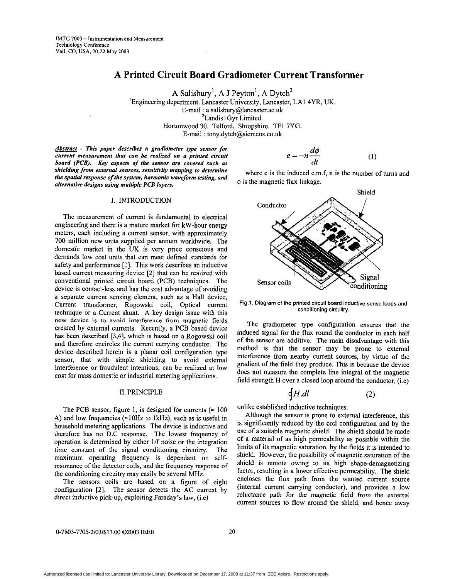# **A Printed Circuit Board Gradiometer Current Transformer**

**A** Salisbury', **A J** Peyton', **A** Dytch' 'Engineering department. Lancaster University, Lancaster, LA1 4YR, UK E-mail : **[a.salisbury@lancaster.ac.uk](mailto:a.salisbury@lancaster.ac.uk)**  <sup>2</sup>Landis+Gyr Limited. Hortonwood 30. Telford. Shropshire. TFI 7YG. E-mail : **[tony.dytch@siemens.co.uk](mailto:tony.dytch@siemens.co.uk)** 

*Abstract* - This paper describes a gradiometer type sensor for *current measurement that can be realized on a printed circuit board (PCB). Key aspects of the sensor are covered such as shielding from external sources, sensitivity mapping to determine the spatial response of the system, harmonic waveform testing, and alternative designs using multiple PCB layers.* 

### **I.** INTRODUCTION

The measurement of current is fundamental to electrical engineering and there is a mature market for kW-hour energy meters, each including a current sensor, with approximately 700 million new units supplied per annum worldwide. The domestic market in the **UK is** very price conscious and demands low cost units that can meet defined standards for safety and performance [1]. This work describes an inductive based current measuring device **[Z]** that can be realized with conventional printed circuit board (PCB) techniques. The device is contact-less and has the cost advantage of avoiding a separate current sensing element, such as a Hall device, Current transformer, Rogowski coil, Optical current technique or a Current shunt. A key design issue with this new device is to avoid interference **from** magnetic fields created by extemal currents. Recently, a PCB based device has been described [3,4], which is based on a Rogowski coil and therefore encircles the current carrying conductor. The device described herein is a planar coil configuration type sensor, that with simple shielding to avoid external interference or fraudulent intentions, can be realized at low cost for **mass** domestic or industrial metering applications.

### 11. PRINCIPLE

The PCB sensor, figure 1, is designed for currents  $( \approx 100$ **A)** and low frequencies (=loHz to **IkHz),** such as is useful in household metering applications. The device is inductive and therefore has no D.C response. The lowest frequency of operation is determined by either I/f noise or the integration time constant of the signal conditioning circuitry. The maximum operating frequency is dependant on selfresonance of the detector coils, and the frequency response of the conditioning circuitry may easily be several MHz.

The sensors coils are based on a figure of eight configuration **[2].** The sensor detects the AC current by direct inductive pick-up, exploiting Faraday's law, (i.e)

$$
e = -n \frac{d\phi}{dt} \tag{1}
$$

where e is the induced e.m.f, n is the number of turns and  $\phi$  is the magnetic flux linkage.



Fig.1. Diagram of the printed circuit board inductive sense **loops** and conditioning circuitw.

The gradiometer type configuration ensures that the induced signal for **the flux** round the conductor in each half of the sensor are additive. The main disadvantage with this method is that the sensor may be prone to external interference from nearby current sources, by virtue of the gradient of the field they produce. This is because the device does not measure the complete line integral of the magnetic field strength H over a closed loop around the conductor, (i.e)

$$
\oint H \, dl \tag{2}
$$

unlike established inductive techniques.

Although the sensor is prone to external interference, this is significantly reduced by the coil configuration and by the use of a suitable magnetic shield. The shield should be made of a material of as high permeability as possible within the limits of its magnetic saturation, by the fields it is intended to shield. However, the possibility of magnetic saturation of the shield is remote owing to its high shape-demagnetizing factor, resulting in a lower effective permeability. The shield encloses the flux path from the wanted current source (internal current carrying conductor), and provides a low reluctance path **for** the magnetic field from the external current sources to flow around the shield, and hence away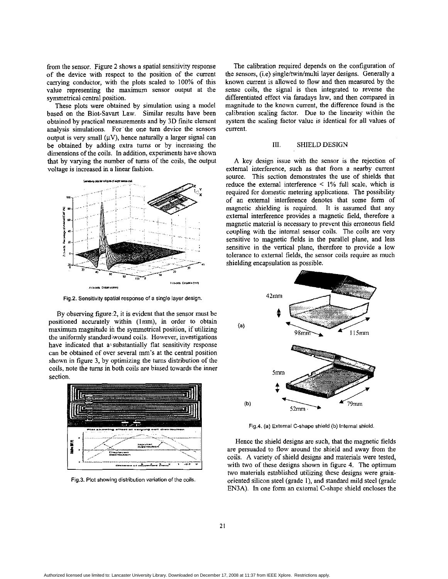from the sensor. Figure **2** shows a spatial sensitivity response of the device with respect to the position of the current carrying conductor, with the plots scaled to 100% of this value representing the maximum sensor output at the symmetrical central position.

These plots were obtained by simulation using a model based on the Biot-Savart Law. Similar results have been obtained hy practical measurements and by 3D finite element analysis simulations. For'the one turn device the sensors output is very small  $(\mu V)$ , hence naturally a larger signal can be obtained by adding extra **tums** or by increasing the dimensions of the coils. In addition, experiments have shown that by varying the number of **tums** of the coils, the output voltage is increased in a linear fashion.



Fig.2. Sensitivity spatial response of a single layer design.

By observing figure 2, it is evident that the sensor must be positioned accurately within (lmm), in order to obtain maximum magnitude in the symmetrical position, if utilizing the uniformly standardiwound coils. However, investigations have indicated that a: substantially flat sensitivity response can he obtained of over several **m"s** at the central position shown in figure 3, by optimizing the **tums** distribution of the coils, note the **turns** in both coils are biased towards the inner section.



Fig.3. Plot showing distribution variation of the coils,

The calibration required depends on the configuration of the sensors, (i.e) single/twin/multi layer designs. Generally a known current is allowed to flow and then measured by the sense coils, the signal is then integrated to reverse the differentiated effect via faradays law, and then compared in magnitude to the known current, the difference found is the calibration scaling factor. Due to the linearity within the system the scaling factor value is identical for all values of current.

### III. SHIELD DESIGN

A key design issue with the sensor is the rejection of external interference, such as that from a nearby current source. This section demonstrates the use of shields that reduce the external interference < 1% full scale, which is required for domestic metering applications. The possibility of an external interference denotes that some form of magnetic shielding is required. It is assumed that any external interference provides a magnetic field, therefore a magnetic material is necessary to prevent this erroneous field coupling with the internal sensor coils. The coils are very sensitive to magnetic fields in the parallel plane, and **less**  sensitive in the vertical plane, therefore to provide a low tolerance to external fields, the sensor coils require as much shielding encapsulation as possible.



Fig.4. **(a)** External C-shape shield (b) Internal shield.

Hence the shield designs are such, that the magnetic fields are persuaded to flow around the shield and away from the coils. **A** variety.of shield designs and materials were tested, with two of these designs shown in figure **4.** The optimum two materials established utilizing these designs were grainoriented silicon steel (grade l), and standard mild steel (grade EN3A). In one form an external C-shape shield encloses the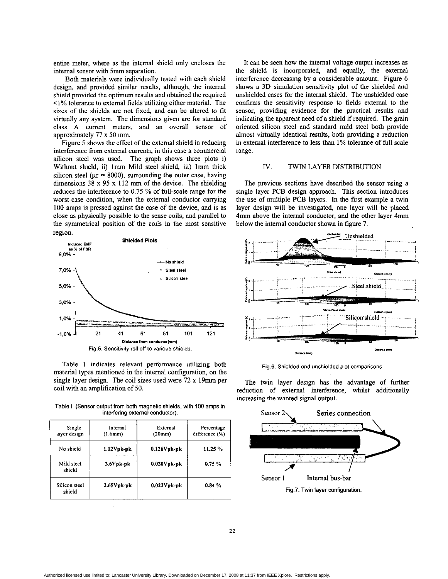entire meter, where as the internal shield only encloses the intemal sensor with 5mm separation.

Both materials were individually tested with each shield design, and provided similar results, although, the internal shield provided the optimum results and obtained the required  $1\%$  tolerance to external fields utilizing either material. The sizes of the shields are not fixed, and can he altered to fit virtually any system. The dimensions given are for standard class **A** current meters, and **an** overall sensor of approximately 77 x 50 mm.

Figure *5* shows the effect of the external shield in reducing interference from external currents, in this case a commercial silicon steel was used. The graph shows three plots i) Without shield, ii) Imm Mild steel shield, iii) lmm thick silicon steel ( $\mu$ r = 8000), surrounding the outer case, having dimensions 38 x *95* x 112 mm of the device. The shielding reduces the interference to 0.75 % of full-scale range for the worst-case condition, when the external conductor carrying 100 **amps** is pressed against the case of the device, and is as close as physically possible to the sense coils, and parallel to the symmetrical position of the coils in the most sensitive region.



Table 1 indicates relevant performance utilizing both material types mentioned in the internal configuration, on the single layer design. The coil sizes used were 72 x 19mm per coil with an amplification of 50.

**Table I (Sensor output from both magnetic shields, with** 100 **amps in interfering external conductor).** 

| Single<br>layer design  | Internal<br>(1.6mm) | External<br>(20mm) | Percentage<br>difference (%) |  |
|-------------------------|---------------------|--------------------|------------------------------|--|
| No shield               | $1.12V$ pk-pk       | $0.126V$ pk-pk     | 11.25 %                      |  |
| Mild steel<br>shield    | $2.6V$ pk-pk        | $0.020V$ pk-pk     | 0.75%                        |  |
| Silicon steel<br>shield | $2.65V$ pk-pk       | $0.022V$ pk-pk     | 0.84%                        |  |

It can be seen how the internal voltage output increases as the shield is incorporated, and equally, the external interference decreasing by a considerable amount. Figure *6*  shows a **3D** simulation sensitivity plot of the shielded and unshielded cases for the internal shield. The unshielded case confirms the sensitivity response to fields external to the sensor, providing evidence for the practical results and indicating the apparent need of a shield if required. The grain oriented silicon steel and standard mild steel both provide almost virtually identical results, both providing a reduction in external interference to less than **1%** tolerance of full scale range.

## IV. **TWIN LAYER** DISTRIBUTION

The previous sections have described the sensor using a single layer PCB design approach. This section introduces the use of multiple PCB layers. In the first example a twin layer design will be investigated, one layer will be placed **4mm** above the internal conductor, and the other layer **4mm**  below the intemal conductor shown in figure 7.



**Fig.6. Shielded and unshielded plot comparisons.** 

The twin layer design has the advantage of further reduction of external interference, whilst additionally increasing the wanted signal output.

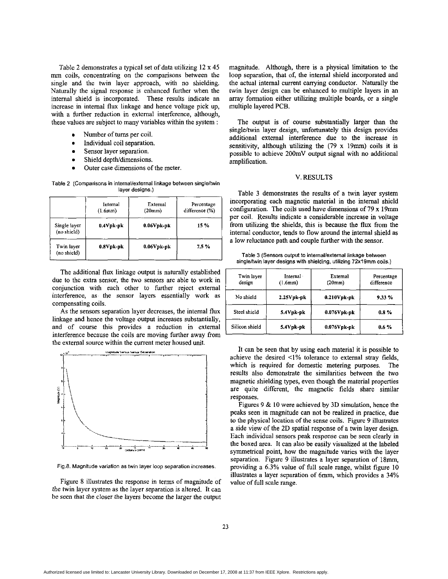Table 2 demonstrates a typical set of data utilizing 12 x **45**  mm coils, concentrating on the comparisons between the single and the twin layer approach, with no shielding. Naturally the signal response is enhanced further when the internal shield is incorporated. These results indicate an increase in internal flux linkage and hence voltage pick up, with a further reduction in external interference, although, these values are subject to many variables within the system :

- Number of turns per coil.
- Individual coil separation.
- Sensor layer separation.
- Shield depth/dimensions.
- Outer case dimensions of the meter.

Table 2 (Comparisons in internal/external linkage between single/twin layer designs.)

|                             | Internal<br>(1.6mm) | External<br>(20mm) | Percentage<br>difference (%) |
|-----------------------------|---------------------|--------------------|------------------------------|
| Single layer<br>(no shield) | $0.4V$ pk-pk        | $0.06V$ pk-pk      | 15 %                         |
| Twin layer<br>(no shield)   | $0.8V$ pk-pk        | $0.06V$ pk-pk      | 7.5%                         |

The additional flux linkage output is naturally established due to the extra sensor, the two sensors are able to work in conjunction with each other to further reject external interference, as the sensor layers essentially work as compensating coils.

As the sensors separation layer decreases, the internal flux linkage and hence the voltage output increases substantially, interference because the coils are moving further away from and of course this provides a reduction in external the external source within the current meter housed unit



**Fig.8. Magnitude variation as twin layer loop separation increases.** 

Figure 8 illustrates the response in terms of magnitude of the twin layer system as the layer separation is altered. It can be seen that the closer the layers become the larger the output magnitude. Although, there is a physical limitation to the loop separation, that of, the internal shield incorporated and the actual internal current carrying conductor. Naturally the twin layer design can be enhanced to multiple layers in an array formation either utilizing multiple boards, or a single multiple layered PCB.

The output is of course substantially larger than the single/twin layer design, unfortunately this design provides additional external interference due to the increase in sensitivity, although utilizing the (79 x 19mm) coils it is possible to achieve 200mV output signal with no additional amplification.

### V. RESULTS

Table 3 demonstrates the results of a twin layer system incorporating each magnetic material in the internal shield configuration. The coils used have dimensions of 79 x 19mm per coil. Results indicate a considerable increase in voltage from utilizing the shields, this is because the flux from the intemal conductor, tends to flow around the internal shield as a low reluctance path and couple further with the sensor.

**Table 3 (Sensors output to internallexternal linkage between**  single/twin layer designs with shielding, utilizing 72x19mm coils.)

| Twin layer<br>design | Internal ·<br>$(1.6$ mm $)$ | External<br>(20mm) | Percentage<br>difference |
|----------------------|-----------------------------|--------------------|--------------------------|
| No shield            | $2.25Vpk-pk$                | $0.210V$ pk-pk     | 9.33%                    |
| Steel shield         | 5.4Vpk-pk                   | $0.076V$ pk-pk     | $0.8 \%$                 |
| Silicon shield       | 5.4Vpk-pk                   | $0.076V$ pk-pk     | $0.6 \%$                 |

It can be seen that by using each material it is possible to achieve the desired  $\leq$ 1% tolerance to external stray fields, which is required for domestic metering purposes. The results also demonstrate the similarities between the two magnetic shielding types, even though the material properties are quite different, the magnetic fields share similar responses.

Figures 9 & 10 were achieved by 3D simulation, hence the peaks seen in magnitude can not be realized in practice, due to the physical location of the sense coils. Figure 9 illustrates a side view of the 2D spatial response of a twin layer design. Each individual sensors peak response can be seen clearly in the boxed area. It can also be easily visualized at the labeled symmetrical point, how the magnitude varies with the layer separation. Figure 9 illustrates a layer separation of 18mm, providing a 6.3% value of full scale range, whilst figure 10 illustrates a layer separation of **6mm,** which provides a 34% value of full scale range.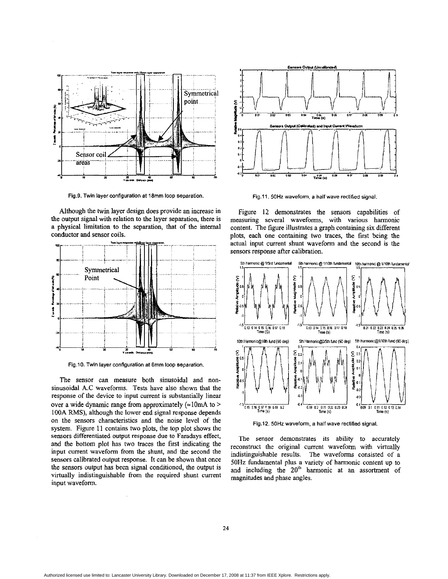

**Fig.9. Twin layer configuration at 18mm loop separation** 

Although the twin layer design does provide an increase in the output signal with relation to the layer separation, there is a physical limitation to the separation, that of the internal conductor and sensor coils.



**Fig.10. Twin layer configuration at 6mm loop separation** 

The sensor can measure both sinusoidal and nonsinusoidal **A.C** waveforms. Tests have also shown that the response of the device to input current is substantially linear over a wide dynamic range from approximately  $(\approx 10 \text{mA})$  to > 100A RMS), although the lower end signal response depends on the sensors characteristics and the noise level of the system. Figure 11 contains two plots, the top plot shows the sensors differentiated output response due to Faradays effect, and the bottom plot has two traces the first indicating the input current waveform from the shunt, and the second the sensors calibrated output response. It can be shown that once the sensors output has been signal conditioned, the output is virtually indistinguishable from the required shunt current input waveform.



Fig.11. 50Hz waveform, a half wave rectified signal.

Figure **12** demonstrates the sensors capabilities of measuring several waveforms, with various harmonic content. The figure illustrates a graph containing six different plots, each one containing two traces, the first being the actual input current shunt waveform and the second is the sensors response after calibration.



**Fig.12.** 50Hz **waveform, a half wave rectified signal.** 

The sensor demonstrates **its** ability to accurately reconstruct the original current waveform with virtnally indistinguishable results. The waveforms consisted of a **50Hz** fundamental plus a variety of harmonic content up to and including the 20" harmonic at an assortment of magnitudes and phase angles.